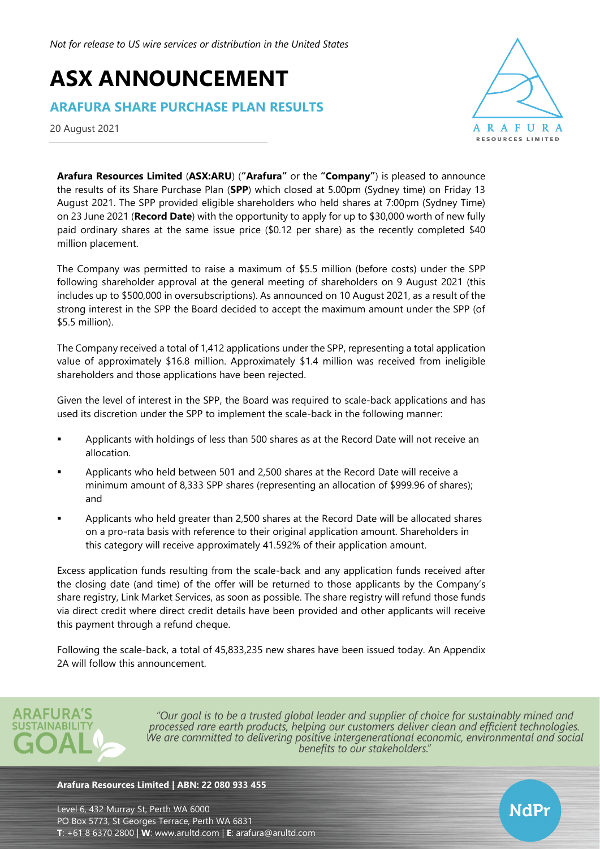# **ASX ANNOUNCEMENT**

## **ARAFURA SHARE PURCHASE PLAN RESULTS**

20 August 2021



NdPr

**Arafura Resources Limited** (**ASX:ARU**) (**"Arafura"** or the **"Company"**) is pleased to announce the results of its Share Purchase Plan (**SPP**) which closed at 5.00pm (Sydney time) on Friday 13 August 2021. The SPP provided eligible shareholders who held shares at 7:00pm (Sydney Time) on 23 June 2021 (**Record Date**) with the opportunity to apply for up to \$30,000 worth of new fully paid ordinary shares at the same issue price (\$0.12 per share) as the recently completed \$40 million placement.

The Company was permitted to raise a maximum of \$5.5 million (before costs) under the SPP following shareholder approval at the general meeting of shareholders on 9 August 2021 (this includes up to \$500,000 in oversubscriptions). As announced on 10 August 2021, as a result of the strong interest in the SPP the Board decided to accept the maximum amount under the SPP (of \$5.5 million).

The Company received a total of 1,412 applications under the SPP, representing a total application value of approximately \$16.8 million. Approximately \$1.4 million was received from ineligible shareholders and those applications have been rejected.

Given the level of interest in the SPP, the Board was required to scale-back applications and has used its discretion under the SPP to implement the scale-back in the following manner:

- Applicants with holdings of less than 500 shares as at the Record Date will not receive an allocation.
- Applicants who held between 501 and 2,500 shares at the Record Date will receive a minimum amount of 8,333 SPP shares (representing an allocation of \$999.96 of shares); and
- Applicants who held greater than 2,500 shares at the Record Date will be allocated shares on a pro-rata basis with reference to their original application amount. Shareholders in this category will receive approximately 41.592% of their application amount.

Excess application funds resulting from the scale-back and any application funds received after the closing date (and time) of the offer will be returned to those applicants by the Company's share registry, Link Market Services, as soon as possible. The share registry will refund those funds via direct credit where direct credit details have been provided and other applicants will receive this payment through a refund cheque.

Following the scale-back, a total of 45,833,235 new shares have been issued today. An Appendix 2A will follow this announcement.



"Our goal is to be a trusted global leader and supplier of choice for sustainably mined and processed rare earth products, helping our customers deliver clean and efficient technologies. We are committed to delivering positive intergenerational economic, environmental and social benefits to our stakeholders."

#### **Arafura Resources Limited | ABN: 22 080 933 455**

Level 6, 432 Murray St, Perth WA 6000 PO Box 5773, St Georges Terrace, Perth WA 6831 **T**: +61 8 6370 2800 | **W**: [www.arultd.com](http://www.arultd.com/) | **E**: [arafura@arultd.com](mailto:arafura@arultd.com)